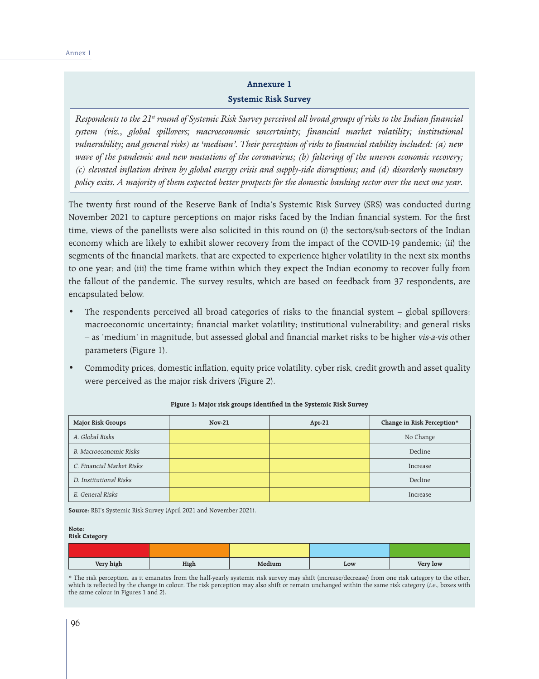# **Annexure 1**

## **Systemic Risk Survey**

*Respondents to the 21st round of Systemic Risk Survey perceived all broad groups of risks to the Indian financial system (viz., global spillovers; macroeconomic uncertainty; financial market volatility; institutional vulnerability; and general risks) as 'medium'. Their perception of risks to financial stability included: (a) new wave of the pandemic and new mutations of the coronavirus; (b) faltering of the uneven economic recovery; (c) elevated inflation driven by global energy crisis and supply-side disruptions; and (d) disorderly monetary policy exits. A majority of them expected better prospects for the domestic banking sector over the next one year.* 

The twenty first round of the Reserve Bank of India's Systemic Risk Survey (SRS) was conducted during November 2021 to capture perceptions on major risks faced by the Indian financial system. For the first time, views of the panellists were also solicited in this round on (i) the sectors/sub-sectors of the Indian economy which are likely to exhibit slower recovery from the impact of the COVID-19 pandemic; (ii) the segments of the financial markets, that are expected to experience higher volatility in the next six months to one year; and (iii) the time frame within which they expect the Indian economy to recover fully from the fallout of the pandemic. The survey results, which are based on feedback from 37 respondents, are encapsulated below.

- The respondents perceived all broad categories of risks to the financial system  $-$  global spillovers; macroeconomic uncertainty; financial market volatility; institutional vulnerability; and general risks – as 'medium' in magnitude, but assessed global and financial market risks to be higher vis-a-vis other parameters (Figure 1).
- Commodity prices, domestic inflation, equity price volatility, cyber risk, credit growth and asset quality were perceived as the major risk drivers (Figure 2).

| <b>Major Risk Groups</b>  | $Nov-21$ | $Apr-21$ | Change in Risk Perception* |
|---------------------------|----------|----------|----------------------------|
| A. Global Risks           |          |          | No Change                  |
| B. Macroeconomic Risks    |          |          | Decline                    |
| C. Financial Market Risks |          |          | Increase                   |
| D. Institutional Risks    |          |          | Decline                    |
| E. General Risks          |          |          | Increase                   |

**Figure 1: Major risk groups identified in the Systemic Risk Survey**

**Source**: RBI's Systemic Risk Survey (April 2021 and November 2021).

### **Note:**

**Risk Category**

| Very high | High | Medium | Low | Very low |
|-----------|------|--------|-----|----------|

\* The risk perception, as it emanates from the half-yearly systemic risk survey may shift (increase/decrease) from one risk category to the other, which is reflected by the change in colour. The risk perception may also shift or remain unchanged within the same risk category (i.e., boxes with the same colour in Figures 1 and 2).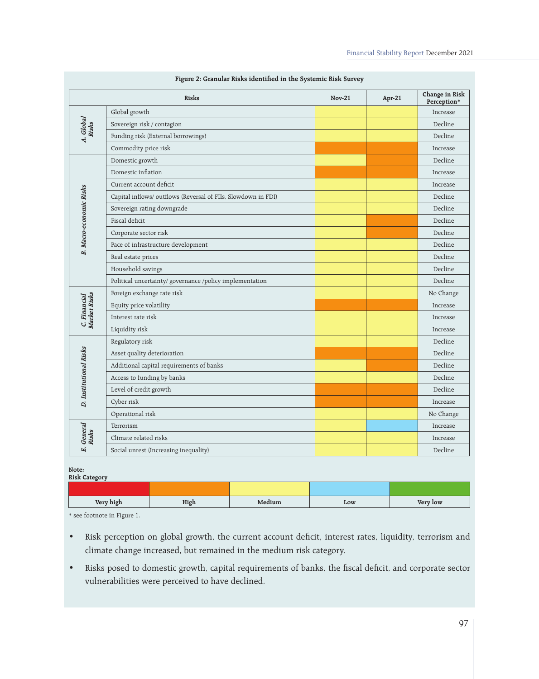|                              | Risks                                                        | $Nov-21$ | Apr-21 | Change in Risk<br>Perception* |
|------------------------------|--------------------------------------------------------------|----------|--------|-------------------------------|
| A. Global<br>Risks           | Global growth                                                |          |        | Increase                      |
|                              | Sovereign risk / contagion                                   |          |        | Decline                       |
|                              | Funding risk (External borrowings)                           |          |        | Decline                       |
|                              | Commodity price risk                                         |          |        | Increase                      |
| B. Macro-economic Risks      | Domestic growth                                              |          |        | Decline                       |
|                              | Domestic inflation                                           |          |        | Increase                      |
|                              | Current account deficit                                      |          |        | Increase                      |
|                              | Capital inflows/outflows (Reversal of FIIs, Slowdown in FDI) |          |        | Decline                       |
|                              | Sovereign rating downgrade                                   |          |        | Decline                       |
|                              | Fiscal deficit                                               |          |        | Decline                       |
|                              | Corporate sector risk                                        |          |        | Decline                       |
|                              | Pace of infrastructure development                           |          |        | Decline                       |
|                              | Real estate prices                                           |          |        | Decline                       |
|                              | Household savings                                            |          |        | Decline                       |
|                              | Political uncertainty/ governance /policy implementation     |          |        | Decline                       |
| C. Financial<br>Market Risks | Foreign exchange rate risk                                   |          |        | No Change                     |
|                              | Equity price volatility                                      |          |        | Increase                      |
|                              | Interest rate risk                                           |          |        | Increase                      |
|                              | Liquidity risk                                               |          |        | Increase                      |
|                              | Regulatory risk                                              |          |        | Decline                       |
|                              | Asset quality deterioration                                  |          |        | Decline                       |
| D. Institutional Risks       | Additional capital requirements of banks                     |          |        | Decline                       |
|                              | Access to funding by banks                                   |          |        | Decline                       |
|                              | Level of credit growth                                       |          |        | Decline                       |
|                              | Cyber risk                                                   |          |        | Increase                      |
|                              | Operational risk                                             |          |        | No Change                     |
|                              | Terrorism                                                    |          |        | Increase                      |
| General<br>Risks             | Climate related risks                                        |          |        | Increase                      |
| Ŀ,                           | Social unrest (Increasing inequality)                        |          |        | Decline                       |

| Figure 2: Granular Risks identified in the Systemic Risk Survey |  |  |  |
|-----------------------------------------------------------------|--|--|--|
|-----------------------------------------------------------------|--|--|--|

#### **Note:**  $RickC$

| <b>NISK CALCOLY</b> |      |        |     |          |
|---------------------|------|--------|-----|----------|
|                     |      |        |     |          |
|                     |      |        |     |          |
|                     |      |        |     |          |
| Very high           | High | Medium | Low | Very low |

\* see footnote in Figure 1.

- • Risk perception on global growth, the current account deficit, interest rates, liquidity, terrorism and climate change increased, but remained in the medium risk category.
- • Risks posed to domestic growth, capital requirements of banks, the fiscal deficit, and corporate sector vulnerabilities were perceived to have declined.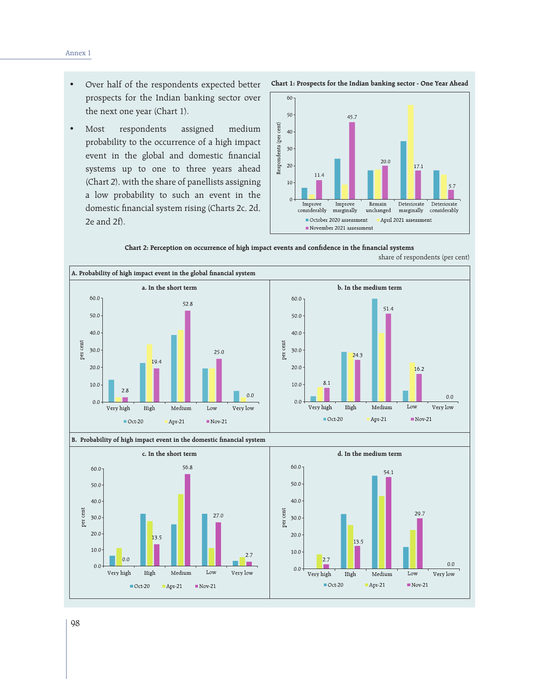- • Over half of the respondents expected better prospects for the Indian banking sector over the next one year (Chart 1).
- • Most respondents assigned medium probability to the occurrence of a high impact event in the global and domestic financial systems up to one to three years ahead (Chart 2), with the share of panellists assigning a low probability to such an event in the domestic financial system rising (Charts 2c, 2d, 2e and 2f).



**Chart 2: Perception on occurrence of high impact events and confidence in the financial systems**



share of respondents (per cent)



98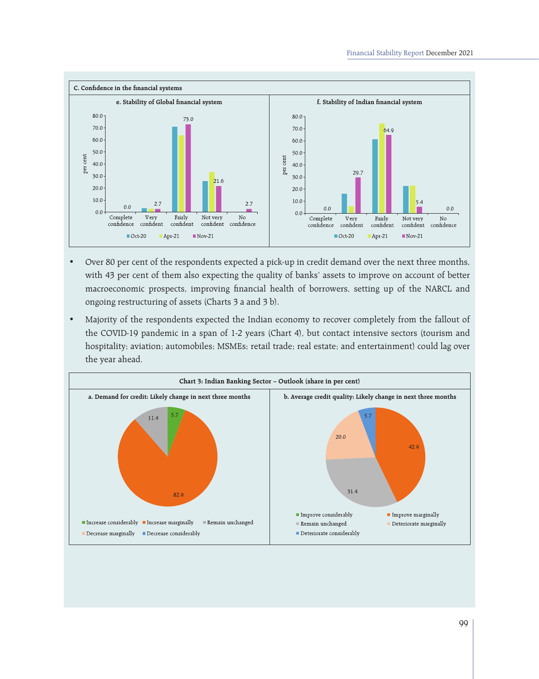

- • Over 80 per cent of the respondents expected a pick-up in credit demand over the next three months, with 43 per cent of them also expecting the quality of banks' assets to improve on account of better macroeconomic prospects, improving financial health of borrowers, setting up of the NARCL and ongoing restructuring of assets (Charts 3 a and 3 b).
- Majority of the respondents expected the Indian economy to recover completely from the fallout of the COVID-19 pandemic in a span of 1-2 years (Chart 4), but contact intensive sectors (tourism and hospitality; aviation; automobiles; MSMEs; retail trade; real estate; and entertainment) could lag over the year ahead.